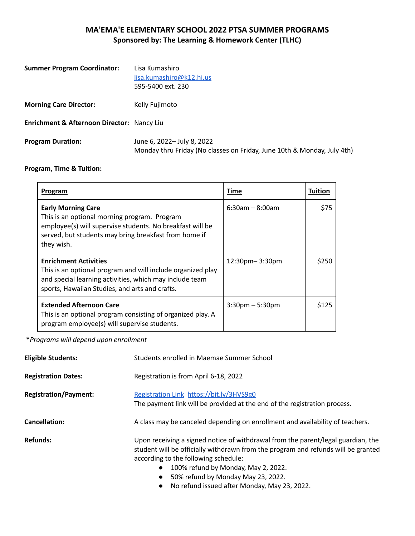## **MA'EMA'E ELEMENTARY SCHOOL 2022 PTSA SUMMER PROGRAMS Sponsored by: The Learning & Homework Center (TLHC)**

| <b>Summer Program Coordinator:</b>         | Lisa Kumashiro<br>lisa.kumashiro@k12.hi.us<br>595-5400 ext. 230                                       |
|--------------------------------------------|-------------------------------------------------------------------------------------------------------|
| <b>Morning Care Director:</b>              | Kelly Fujimoto                                                                                        |
| Enrichment & Afternoon Director: Nancy Liu |                                                                                                       |
| <b>Program Duration:</b>                   | June 6, 2022- July 8, 2022<br>Monday thru Friday (No classes on Friday, June 10th & Monday, July 4th) |

## **Program, Time & Tuition:**

| Program                                                                                                                                                                                                       | Time                  | Tuition |
|---------------------------------------------------------------------------------------------------------------------------------------------------------------------------------------------------------------|-----------------------|---------|
| <b>Early Morning Care</b><br>This is an optional morning program. Program<br>employee(s) will supervise students. No breakfast will be<br>served, but students may bring breakfast from home if<br>they wish. | $6:30$ am – $8:00$ am | \$75    |
| <b>Enrichment Activities</b><br>This is an optional program and will include organized play<br>and special learning activities, which may include team<br>sports, Hawaiian Studies, and arts and crafts.      | $12:30$ pm- $3:30$ pm | \$250   |
| <b>Extended Afternoon Care</b><br>This is an optional program consisting of organized play. A<br>program employee(s) will supervise students.                                                                 | $3:30$ pm – 5:30pm    | \$125   |

\**Programs will depend upon enrollment*

| <b>Eligible Students:</b>    | Students enrolled in Maemae Summer School                                                                                                                                                                                                                                                                                                               |
|------------------------------|---------------------------------------------------------------------------------------------------------------------------------------------------------------------------------------------------------------------------------------------------------------------------------------------------------------------------------------------------------|
| <b>Registration Dates:</b>   | Registration is from April 6-18, 2022                                                                                                                                                                                                                                                                                                                   |
| <b>Registration/Payment:</b> | Registration Link https://bit.ly/3HVS9g0<br>The payment link will be provided at the end of the registration process.                                                                                                                                                                                                                                   |
| <b>Cancellation:</b>         | A class may be canceled depending on enrollment and availability of teachers.                                                                                                                                                                                                                                                                           |
| <b>Refunds:</b>              | Upon receiving a signed notice of withdrawal from the parent/legal guardian, the<br>student will be officially withdrawn from the program and refunds will be granted<br>according to the following schedule:<br>100% refund by Monday, May 2, 2022.<br>50% refund by Monday May 23, 2022.<br>$\bullet$<br>No refund issued after Monday, May 23, 2022. |